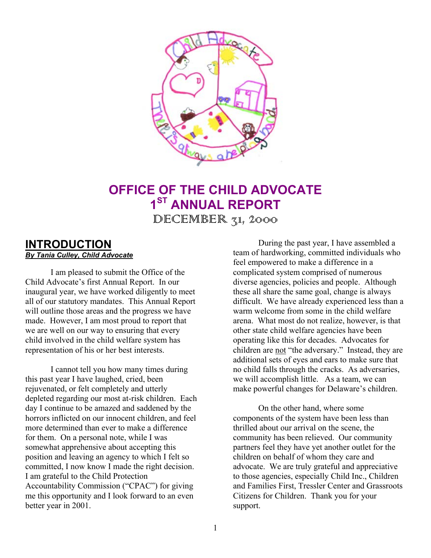

# **OFFICE OF THE CHILD ADVOCATE 1ST ANNUAL REPORT**  $DECEMBER$   $71, 2000$

### **INTRODUCTION** *By Tania Culley, Child Advocate*

I am pleased to submit the Office of the Child Advocate's first Annual Report. In our inaugural year, we have worked diligently to meet all of our statutory mandates. This Annual Report will outline those areas and the progress we have made. However, I am most proud to report that we are well on our way to ensuring that every child involved in the child welfare system has representation of his or her best interests.

I cannot tell you how many times during this past year I have laughed, cried, been rejuvenated, or felt completely and utterly depleted regarding our most at-risk children. Each day I continue to be amazed and saddened by the horrors inflicted on our innocent children, and feel more determined than ever to make a difference for them. On a personal note, while I was somewhat apprehensive about accepting this position and leaving an agency to which I felt so committed, I now know I made the right decision. I am grateful to the Child Protection Accountability Commission ("CPAC") for giving me this opportunity and I look forward to an even better year in 2001.

During the past year, I have assembled a team of hardworking, committed individuals who feel empowered to make a difference in a complicated system comprised of numerous diverse agencies, policies and people. Although these all share the same goal, change is always difficult. We have already experienced less than a warm welcome from some in the child welfare arena. What most do not realize, however, is that other state child welfare agencies have been operating like this for decades. Advocates for children are not "the adversary." Instead, they are additional sets of eyes and ears to make sure that no child falls through the cracks. As adversaries, we will accomplish little. As a team, we can make powerful changes for Delaware's children.

On the other hand, where some components of the system have been less than thrilled about our arrival on the scene, the community has been relieved. Our community partners feel they have yet another outlet for the children on behalf of whom they care and advocate. We are truly grateful and appreciative to those agencies, especially Child Inc., Children and Families First, Tressler Center and Grassroots Citizens for Children. Thank you for your support.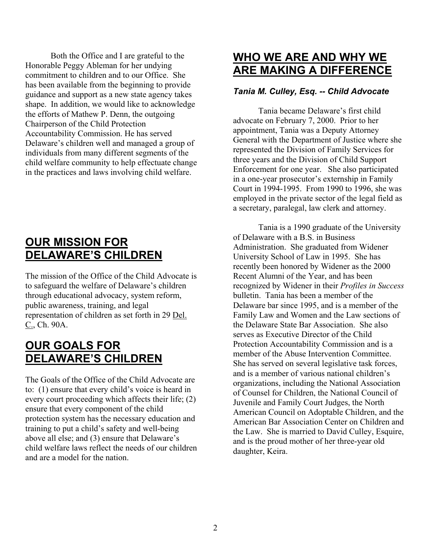Both the Office and I are grateful to the Honorable Peggy Ableman for her undying commitment to children and to our Office. She has been available from the beginning to provide guidance and support as a new state agency takes shape. In addition, we would like to acknowledge the efforts of Mathew P. Denn, the outgoing Chairperson of the Child Protection Accountability Commission. He has served Delaware's children well and managed a group of individuals from many different segments of the child welfare community to help effectuate change in the practices and laws involving child welfare.

# **OUR MISSION FOR DELAWARE'S CHILDREN**

The mission of the Office of the Child Advocate is to safeguard the welfare of Delaware's children through educational advocacy, system reform, public awareness, training, and legal representation of children as set forth in 29 Del. C., Ch. 90A.

# **OUR GOALS FOR DELAWARE'S CHILDREN**

The Goals of the Office of the Child Advocate are to: (1) ensure that every child's voice is heard in every court proceeding which affects their life; (2) ensure that every component of the child protection system has the necessary education and training to put a child's safety and well-being above all else; and (3) ensure that Delaware's child welfare laws reflect the needs of our children and are a model for the nation.

## **WHO WE ARE AND WHY WE ARE MAKING A DIFFERENCE**

### *Tania M. Culley, Esq. -- Child Advocate*

Tania became Delaware's first child advocate on February 7, 2000. Prior to her appointment, Tania was a Deputy Attorney General with the Department of Justice where she represented the Division of Family Services for three years and the Division of Child Support Enforcement for one year. She also participated in a one-year prosecutor's externship in Family Court in 1994-1995. From 1990 to 1996, she was employed in the private sector of the legal field as a secretary, paralegal, law clerk and attorney.

Tania is a 1990 graduate of the University of Delaware with a B.S. in Business Administration. She graduated from Widener University School of Law in 1995. She has recently been honored by Widener as the 2000 Recent Alumni of the Year, and has been recognized by Widener in their *Profiles in Success* bulletin. Tania has been a member of the Delaware bar since 1995, and is a member of the Family Law and Women and the Law sections of the Delaware State Bar Association. She also serves as Executive Director of the Child Protection Accountability Commission and is a member of the Abuse Intervention Committee. She has served on several legislative task forces, and is a member of various national children's organizations, including the National Association of Counsel for Children, the National Council of Juvenile and Family Court Judges, the North American Council on Adoptable Children, and the American Bar Association Center on Children and the Law. She is married to David Culley, Esquire, and is the proud mother of her three-year old daughter, Keira.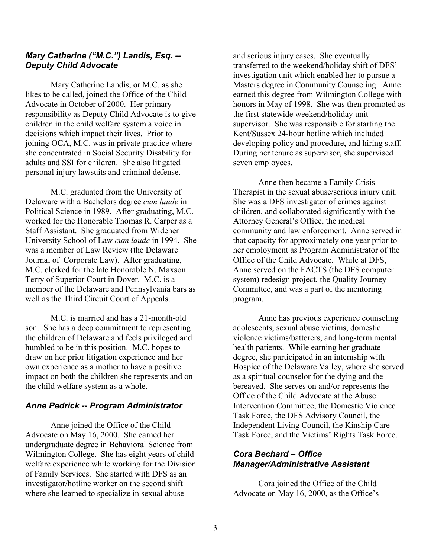#### *Mary Catherine ("M.C.") Landis, Esq. -- Deputy Child Advocate*

Mary Catherine Landis, or M.C. as she likes to be called, joined the Office of the Child Advocate in October of 2000. Her primary responsibility as Deputy Child Advocate is to give children in the child welfare system a voice in decisions which impact their lives. Prior to joining OCA, M.C. was in private practice where she concentrated in Social Security Disability for adults and SSI for children. She also litigated personal injury lawsuits and criminal defense.

M.C. graduated from the University of Delaware with a Bachelors degree *cum laude* in Political Science in 1989. After graduating, M.C. worked for the Honorable Thomas R. Carper as a Staff Assistant. She graduated from Widener University School of Law *cum laude* in 1994. She was a member of Law Review (the Delaware Journal of Corporate Law). After graduating, M.C. clerked for the late Honorable N. Maxson Terry of Superior Court in Dover. M.C. is a member of the Delaware and Pennsylvania bars as well as the Third Circuit Court of Appeals.

M.C. is married and has a 21-month-old son. She has a deep commitment to representing the children of Delaware and feels privileged and humbled to be in this position. M.C. hopes to draw on her prior litigation experience and her own experience as a mother to have a positive impact on both the children she represents and on the child welfare system as a whole.

#### *Anne Pedrick -- Program Administrator*

Anne joined the Office of the Child Advocate on May 16, 2000. She earned her undergraduate degree in Behavioral Science from Wilmington College. She has eight years of child welfare experience while working for the Division of Family Services. She started with DFS as an investigator/hotline worker on the second shift where she learned to specialize in sexual abuse

and serious injury cases. She eventually transferred to the weekend/holiday shift of DFS' investigation unit which enabled her to pursue a Masters degree in Community Counseling. Anne earned this degree from Wilmington College with honors in May of 1998. She was then promoted as the first statewide weekend/holiday unit supervisor. She was responsible for starting the Kent/Sussex 24-hour hotline which included developing policy and procedure, and hiring staff. During her tenure as supervisor, she supervised seven employees.

Anne then became a Family Crisis Therapist in the sexual abuse/serious injury unit. She was a DFS investigator of crimes against children, and collaborated significantly with the Attorney General's Office, the medical community and law enforcement. Anne served in that capacity for approximately one year prior to her employment as Program Administrator of the Office of the Child Advocate. While at DFS, Anne served on the FACTS (the DFS computer system) redesign project, the Quality Journey Committee, and was a part of the mentoring program.

Anne has previous experience counseling adolescents, sexual abuse victims, domestic violence victims/batterers, and long-term mental health patients. While earning her graduate degree, she participated in an internship with Hospice of the Delaware Valley, where she served as a spiritual counselor for the dying and the bereaved. She serves on and/or represents the Office of the Child Advocate at the Abuse Intervention Committee, the Domestic Violence Task Force, the DFS Advisory Council, the Independent Living Council, the Kinship Care Task Force, and the Victims' Rights Task Force.

#### *Cora Bechard – Office Manager/Administrative Assistant*

Cora joined the Office of the Child Advocate on May 16, 2000, as the Office's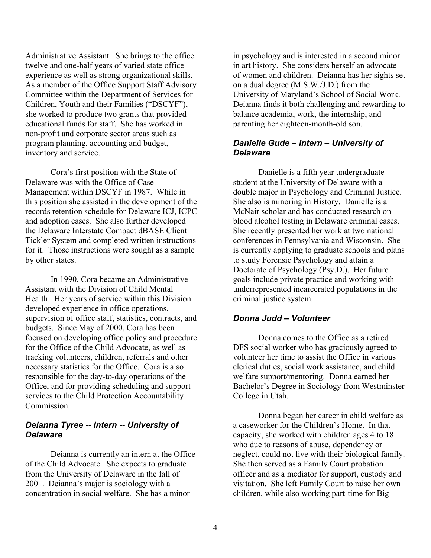Administrative Assistant. She brings to the office twelve and one-half years of varied state office experience as well as strong organizational skills. As a member of the Office Support Staff Advisory Committee within the Department of Services for Children, Youth and their Families ("DSCYF"), she worked to produce two grants that provided educational funds for staff. She has worked in non-profit and corporate sector areas such as program planning, accounting and budget, inventory and service.

Cora's first position with the State of Delaware was with the Office of Case Management within DSCYF in 1987. While in this position she assisted in the development of the records retention schedule for Delaware ICJ, ICPC and adoption cases. She also further developed the Delaware Interstate Compact dBASE Client Tickler System and completed written instructions for it. Those instructions were sought as a sample by other states.

In 1990, Cora became an Administrative Assistant with the Division of Child Mental Health. Her years of service within this Division developed experience in office operations, supervision of office staff, statistics, contracts, and budgets. Since May of 2000, Cora has been focused on developing office policy and procedure for the Office of the Child Advocate, as well as tracking volunteers, children, referrals and other necessary statistics for the Office. Cora is also responsible for the day-to-day operations of the Office, and for providing scheduling and support services to the Child Protection Accountability **Commission** 

#### *Deianna Tyree -- Intern -- University of Delaware*

Deianna is currently an intern at the Office of the Child Advocate. She expects to graduate from the University of Delaware in the fall of 2001. Deianna's major is sociology with a concentration in social welfare. She has a minor

in psychology and is interested in a second minor in art history. She considers herself an advocate of women and children. Deianna has her sights set on a dual degree (M.S.W./J.D.) from the University of Maryland's School of Social Work. Deianna finds it both challenging and rewarding to balance academia, work, the internship, and parenting her eighteen-month-old son.

#### *Danielle Gude – Intern – University of Delaware*

Danielle is a fifth year undergraduate student at the University of Delaware with a double major in Psychology and Criminal Justice. She also is minoring in History. Danielle is a McNair scholar and has conducted research on blood alcohol testing in Delaware criminal cases. She recently presented her work at two national conferences in Pennsylvania and Wisconsin. She is currently applying to graduate schools and plans to study Forensic Psychology and attain a Doctorate of Psychology (Psy.D.). Her future goals include private practice and working with underrepresented incarcerated populations in the criminal justice system.

#### *Donna Judd – Volunteer*

Donna comes to the Office as a retired DFS social worker who has graciously agreed to volunteer her time to assist the Office in various clerical duties, social work assistance, and child welfare support/mentoring. Donna earned her Bachelor's Degree in Sociology from Westminster College in Utah.

Donna began her career in child welfare as a caseworker for the Children's Home. In that capacity, she worked with children ages 4 to 18 who due to reasons of abuse, dependency or neglect, could not live with their biological family. She then served as a Family Court probation officer and as a mediator for support, custody and visitation. She left Family Court to raise her own children, while also working part-time for Big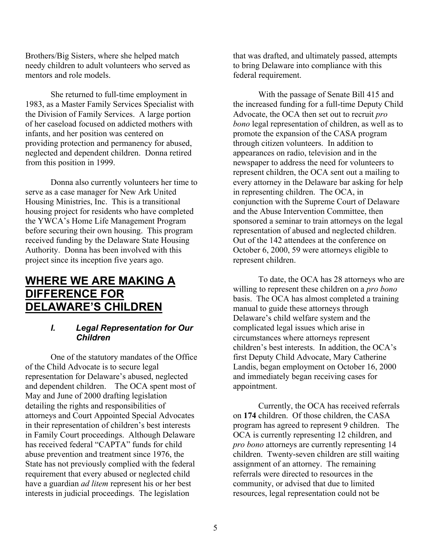Brothers/Big Sisters, where she helped match needy children to adult volunteers who served as mentors and role models.

She returned to full-time employment in 1983, as a Master Family Services Specialist with the Division of Family Services. A large portion of her caseload focused on addicted mothers with infants, and her position was centered on providing protection and permanency for abused, neglected and dependent children. Donna retired from this position in 1999.

Donna also currently volunteers her time to serve as a case manager for New Ark United Housing Ministries, Inc. This is a transitional housing project for residents who have completed the YWCA's Home Life Management Program before securing their own housing. This program received funding by the Delaware State Housing Authority. Donna has been involved with this project since its inception five years ago.

### **WHERE WE ARE MAKING A DIFFERENCE FOR DELAWARE'S CHILDREN**

#### *I. Legal Representation for Our Children*

One of the statutory mandates of the Office of the Child Advocate is to secure legal representation for Delaware's abused, neglected and dependent children. The OCA spent most of May and June of 2000 drafting legislation detailing the rights and responsibilities of attorneys and Court Appointed Special Advocates in their representation of children's best interests in Family Court proceedings. Although Delaware has received federal "CAPTA" funds for child abuse prevention and treatment since 1976, the State has not previously complied with the federal requirement that every abused or neglected child have a guardian *ad litem* represent his or her best interests in judicial proceedings. The legislation

that was drafted, and ultimately passed, attempts to bring Delaware into compliance with this federal requirement.

With the passage of Senate Bill 415 and the increased funding for a full-time Deputy Child Advocate, the OCA then set out to recruit *pro bono* legal representation of children, as well as to promote the expansion of the CASA program through citizen volunteers. In addition to appearances on radio, television and in the newspaper to address the need for volunteers to represent children, the OCA sent out a mailing to every attorney in the Delaware bar asking for help in representing children. The OCA, in conjunction with the Supreme Court of Delaware and the Abuse Intervention Committee, then sponsored a seminar to train attorneys on the legal representation of abused and neglected children. Out of the 142 attendees at the conference on October 6, 2000, 59 were attorneys eligible to represent children.

To date, the OCA has 28 attorneys who are willing to represent these children on a *pro bono* basis. The OCA has almost completed a training manual to guide these attorneys through Delaware's child welfare system and the complicated legal issues which arise in circumstances where attorneys represent children's best interests. In addition, the OCA's first Deputy Child Advocate, Mary Catherine Landis, began employment on October 16, 2000 and immediately began receiving cases for appointment.

Currently, the OCA has received referrals on **174** children. Of those children, the CASA program has agreed to represent 9 children. The OCA is currently representing 12 children, and *pro bono* attorneys are currently representing 14 children. Twenty-seven children are still waiting assignment of an attorney. The remaining referrals were directed to resources in the community, or advised that due to limited resources, legal representation could not be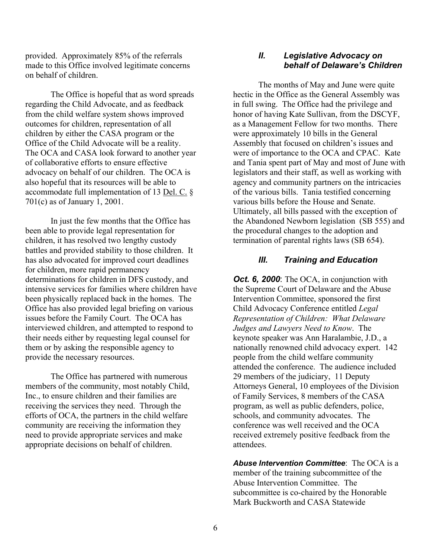provided. Approximately 85% of the referrals made to this Office involved legitimate concerns on behalf of children.

The Office is hopeful that as word spreads regarding the Child Advocate, and as feedback from the child welfare system shows improved outcomes for children, representation of all children by either the CASA program or the Office of the Child Advocate will be a reality. The OCA and CASA look forward to another year of collaborative efforts to ensure effective advocacy on behalf of our children. The OCA is also hopeful that its resources will be able to accommodate full implementation of 13 Del. C. § 701(c) as of January 1, 2001.

In just the few months that the Office has been able to provide legal representation for children, it has resolved two lengthy custody battles and provided stability to those children. It has also advocated for improved court deadlines for children, more rapid permanency determinations for children in DFS custody, and intensive services for families where children have been physically replaced back in the homes. The Office has also provided legal briefing on various issues before the Family Court. The OCA has interviewed children, and attempted to respond to their needs either by requesting legal counsel for them or by asking the responsible agency to provide the necessary resources.

The Office has partnered with numerous members of the community, most notably Child, Inc., to ensure children and their families are receiving the services they need. Through the efforts of OCA, the partners in the child welfare community are receiving the information they need to provide appropriate services and make appropriate decisions on behalf of children.

#### *II. Legislative Advocacy on behalf of Delaware's Children*

The months of May and June were quite hectic in the Office as the General Assembly was in full swing. The Office had the privilege and honor of having Kate Sullivan, from the DSCYF, as a Management Fellow for two months. There were approximately 10 bills in the General Assembly that focused on children's issues and were of importance to the OCA and CPAC. Kate and Tania spent part of May and most of June with legislators and their staff, as well as working with agency and community partners on the intricacies of the various bills. Tania testified concerning various bills before the House and Senate. Ultimately, all bills passed with the exception of the Abandoned Newborn legislation (SB 555) and the procedural changes to the adoption and termination of parental rights laws (SB 654).

#### *III. Training and Education*

*Oct.* 6, 2000: The OCA, in conjunction with the Supreme Court of Delaware and the Abuse Intervention Committee, sponsored the first Child Advocacy Conference entitled *Legal Representation of Children: What Delaware Judges and Lawyers Need to Know*. The keynote speaker was Ann Haralambie, J.D., a nationally renowned child advocacy expert. 142 people from the child welfare community attended the conference. The audience included 29 members of the judiciary, 11 Deputy Attorneys General, 10 employees of the Division of Family Services, 8 members of the CASA program, as well as public defenders, police, schools, and community advocates. The conference was well received and the OCA received extremely positive feedback from the attendees.

*Abuse Intervention Committee*: The OCA is a member of the training subcommittee of the Abuse Intervention Committee. The subcommittee is co-chaired by the Honorable Mark Buckworth and CASA Statewide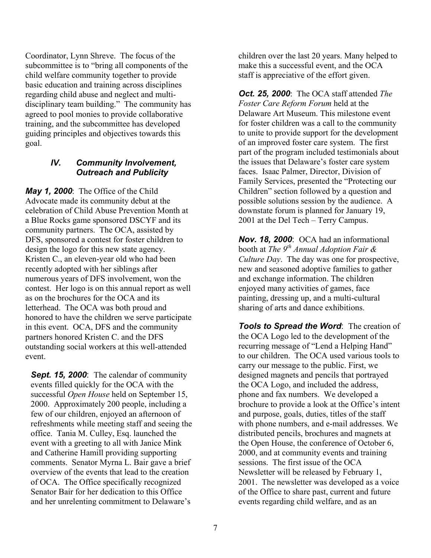Coordinator, Lynn Shreve. The focus of the subcommittee is to "bring all components of the child welfare community together to provide basic education and training across disciplines regarding child abuse and neglect and multidisciplinary team building." The community has agreed to pool monies to provide collaborative training, and the subcommittee has developed guiding principles and objectives towards this goal.

#### *IV. Community Involvement, Outreach and Publicity*

*May 1, 2000*: The Office of the Child Advocate made its community debut at the celebration of Child Abuse Prevention Month at a Blue Rocks game sponsored DSCYF and its community partners. The OCA, assisted by DFS, sponsored a contest for foster children to design the logo for this new state agency. Kristen C., an eleven-year old who had been recently adopted with her siblings after numerous years of DFS involvement, won the contest. Her logo is on this annual report as well as on the brochures for the OCA and its letterhead. The OCA was both proud and honored to have the children we serve participate in this event. OCA, DFS and the community partners honored Kristen C. and the DFS outstanding social workers at this well-attended event.

**Sept. 15, 2000**: The calendar of community events filled quickly for the OCA with the successful *Open House* held on September 15, 2000. Approximately 200 people, including a few of our children, enjoyed an afternoon of refreshments while meeting staff and seeing the office. Tania M. Culley, Esq. launched the event with a greeting to all with Janice Mink and Catherine Hamill providing supporting comments. Senator Myrna L. Bair gave a brief overview of the events that lead to the creation of OCA. The Office specifically recognized Senator Bair for her dedication to this Office and her unrelenting commitment to Delaware's

children over the last 20 years. Many helped to make this a successful event, and the OCA staff is appreciative of the effort given.

*Oct. 25, 2000*: The OCA staff attended *The Foster Care Reform Forum* held at the Delaware Art Museum. This milestone event for foster children was a call to the community to unite to provide support for the development of an improved foster care system. The first part of the program included testimonials about the issues that Delaware's foster care system faces. Isaac Palmer, Director, Division of Family Services, presented the "Protecting our Children" section followed by a question and possible solutions session by the audience. A downstate forum is planned for January 19, 2001 at the Del Tech – Terry Campus.

*Nov. 18, 2000*: OCA had an informational booth at *The 9th Annual Adoption Fair & Culture Day*. The day was one for prospective, new and seasoned adoptive families to gather and exchange information. The children enjoyed many activities of games, face painting, dressing up, and a multi-cultural sharing of arts and dance exhibitions.

*Tools to Spread the Word*: The creation of the OCA Logo led to the development of the recurring message of "Lend a Helping Hand" to our children. The OCA used various tools to carry our message to the public. First, we designed magnets and pencils that portrayed the OCA Logo, and included the address, phone and fax numbers. We developed a brochure to provide a look at the Office's intent and purpose, goals, duties, titles of the staff with phone numbers, and e-mail addresses. We distributed pencils, brochures and magnets at the Open House, the conference of October 6, 2000, and at community events and training sessions. The first issue of the OCA Newsletter will be released by February 1, 2001. The newsletter was developed as a voice of the Office to share past, current and future events regarding child welfare, and as an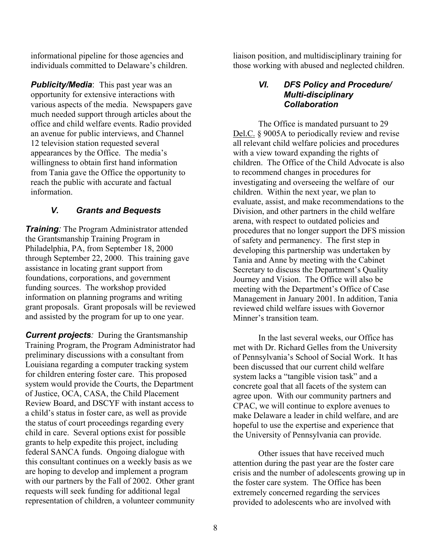informational pipeline for those agencies and individuals committed to Delaware's children.

*Publicity/Media*: This past year was an opportunity for extensive interactions with various aspects of the media. Newspapers gave much needed support through articles about the office and child welfare events. Radio provided an avenue for public interviews, and Channel 12 television station requested several appearances by the Office. The media's willingness to obtain first hand information from Tania gave the Office the opportunity to reach the public with accurate and factual information.

### *V. Grants and Bequests*

*Training:* The Program Administrator attended the Grantsmanship Training Program in Philadelphia, PA, from September 18, 2000 through September 22, 2000. This training gave assistance in locating grant support from foundations, corporations, and government funding sources. The workshop provided information on planning programs and writing grant proposals. Grant proposals will be reviewed and assisted by the program for up to one year.

*Current projects:* During the Grantsmanship Training Program, the Program Administrator had preliminary discussions with a consultant from Louisiana regarding a computer tracking system for children entering foster care. This proposed system would provide the Courts, the Department of Justice, OCA, CASA, the Child Placement Review Board, and DSCYF with instant access to a child's status in foster care, as well as provide the status of court proceedings regarding every child in care. Several options exist for possible grants to help expedite this project, including federal SANCA funds. Ongoing dialogue with this consultant continues on a weekly basis as we are hoping to develop and implement a program with our partners by the Fall of 2002. Other grant requests will seek funding for additional legal representation of children, a volunteer community

liaison position, and multidisciplinary training for those working with abused and neglected children.

#### *VI. DFS Policy and Procedure/ Multi-disciplinary Collaboration*

The Office is mandated pursuant to 29 Del.C. § 9005A to periodically review and revise all relevant child welfare policies and procedures with a view toward expanding the rights of children. The Office of the Child Advocate is also to recommend changes in procedures for investigating and overseeing the welfare of our children. Within the next year, we plan to evaluate, assist, and make recommendations to the Division, and other partners in the child welfare arena, with respect to outdated policies and procedures that no longer support the DFS mission of safety and permanency. The first step in developing this partnership was undertaken by Tania and Anne by meeting with the Cabinet Secretary to discuss the Department's Quality Journey and Vision. The Office will also be meeting with the Department's Office of Case Management in January 2001. In addition, Tania reviewed child welfare issues with Governor Minner's transition team.

In the last several weeks, our Office has met with Dr. Richard Gelles from the University of Pennsylvania's School of Social Work. It has been discussed that our current child welfare system lacks a "tangible vision task" and a concrete goal that all facets of the system can agree upon. With our community partners and CPAC, we will continue to explore avenues to make Delaware a leader in child welfare, and are hopeful to use the expertise and experience that the University of Pennsylvania can provide.

Other issues that have received much attention during the past year are the foster care crisis and the number of adolescents growing up in the foster care system. The Office has been extremely concerned regarding the services provided to adolescents who are involved with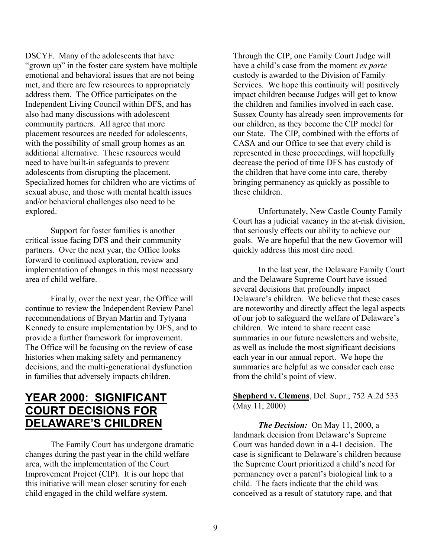DSCYF. Many of the adolescents that have "grown up" in the foster care system have multiple emotional and behavioral issues that are not being met, and there are few resources to appropriately address them. The Office participates on the Independent Living Council within DFS, and has also had many discussions with adolescent community partners. All agree that more placement resources are needed for adolescents, with the possibility of small group homes as an additional alternative. These resources would need to have built-in safeguards to prevent adolescents from disrupting the placement. Specialized homes for children who are victims of sexual abuse, and those with mental health issues and/or behavioral challenges also need to be explored.

Support for foster families is another critical issue facing DFS and their community partners. Over the next year, the Office looks forward to continued exploration, review and implementation of changes in this most necessary area of child welfare.

Finally, over the next year, the Office will continue to review the Independent Review Panel recommendations of Bryan Martin and Tytyana Kennedy to ensure implementation by DFS, and to provide a further framework for improvement. The Office will be focusing on the review of case histories when making safety and permanency decisions, and the multi-generational dysfunction in families that adversely impacts children.

## **YEAR 2000: SIGNIFICANT COURT DECISIONS FOR DELAWARE'S CHILDREN**

The Family Court has undergone dramatic changes during the past year in the child welfare area, with the implementation of the Court Improvement Project (CIP). It is our hope that this initiative will mean closer scrutiny for each child engaged in the child welfare system.

Through the CIP, one Family Court Judge will have a child's case from the moment *ex parte* custody is awarded to the Division of Family Services. We hope this continuity will positively impact children because Judges will get to know the children and families involved in each case. Sussex County has already seen improvements for our children, as they become the CIP model for our State. The CIP, combined with the efforts of CASA and our Office to see that every child is represented in these proceedings, will hopefully decrease the period of time DFS has custody of the children that have come into care, thereby bringing permanency as quickly as possible to these children.

Unfortunately, New Castle County Family Court has a judicial vacancy in the at-risk division, that seriously effects our ability to achieve our goals. We are hopeful that the new Governor will quickly address this most dire need.

In the last year, the Delaware Family Court and the Delaware Supreme Court have issued several decisions that profoundly impact Delaware's children. We believe that these cases are noteworthy and directly affect the legal aspects of our job to safeguard the welfare of Delaware's children. We intend to share recent case summaries in our future newsletters and website, as well as include the most significant decisions each year in our annual report. We hope the summaries are helpful as we consider each case from the child's point of view.

**Shepherd v. Clemens**, Del. Supr., 752 A.2d 533 (May 11, 2000)

*The Decision:* On May 11, 2000, a landmark decision from Delaware's Supreme Court was handed down in a 4-1 decision. The case is significant to Delaware's children because the Supreme Court prioritized a child's need for permanency over a parent's biological link to a child. The facts indicate that the child was conceived as a result of statutory rape, and that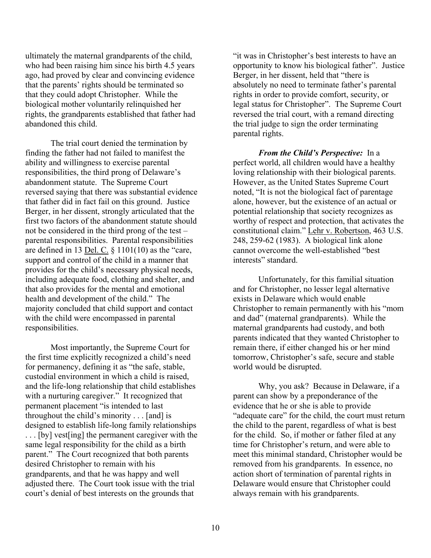ultimately the maternal grandparents of the child, who had been raising him since his birth 4.5 years ago, had proved by clear and convincing evidence that the parents' rights should be terminated so that they could adopt Christopher. While the biological mother voluntarily relinquished her rights, the grandparents established that father had abandoned this child.

The trial court denied the termination by finding the father had not failed to manifest the ability and willingness to exercise parental responsibilities, the third prong of Delaware's abandonment statute. The Supreme Court reversed saying that there was substantial evidence that father did in fact fail on this ground. Justice Berger, in her dissent, strongly articulated that the first two factors of the abandonment statute should not be considered in the third prong of the test – parental responsibilities. Parental responsibilities are defined in 13 <u>Del. C.</u>  $\S$  1101(10) as the "care, support and control of the child in a manner that provides for the child's necessary physical needs, including adequate food, clothing and shelter, and that also provides for the mental and emotional health and development of the child." The majority concluded that child support and contact with the child were encompassed in parental responsibilities.

Most importantly, the Supreme Court for the first time explicitly recognized a child's need for permanency, defining it as "the safe, stable, custodial environment in which a child is raised, and the life-long relationship that child establishes with a nurturing caregiver." It recognized that permanent placement "is intended to last throughout the child's minority . . . [and] is designed to establish life-long family relationships . . . [by] vest[ing] the permanent caregiver with the same legal responsibility for the child as a birth parent." The Court recognized that both parents desired Christopher to remain with his grandparents, and that he was happy and well adjusted there. The Court took issue with the trial court's denial of best interests on the grounds that

"it was in Christopher's best interests to have an opportunity to know his biological father". Justice Berger, in her dissent, held that "there is absolutely no need to terminate father's parental rights in order to provide comfort, security, or legal status for Christopher". The Supreme Court reversed the trial court, with a remand directing the trial judge to sign the order terminating parental rights.

*From the Child's Perspective:* In a perfect world, all children would have a healthy loving relationship with their biological parents. However, as the United States Supreme Court noted, "It is not the biological fact of parentage alone, however, but the existence of an actual or potential relationship that society recognizes as worthy of respect and protection, that activates the constitutional claim." Lehr v. Robertson, 463 U.S. 248, 259-62 (1983). A biological link alone cannot overcome the well-established "best interests" standard.

Unfortunately, for this familial situation and for Christopher, no lesser legal alternative exists in Delaware which would enable Christopher to remain permanently with his "mom and dad" (maternal grandparents). While the maternal grandparents had custody, and both parents indicated that they wanted Christopher to remain there, if either changed his or her mind tomorrow, Christopher's safe, secure and stable world would be disrupted.

Why, you ask? Because in Delaware, if a parent can show by a preponderance of the evidence that he or she is able to provide "adequate care" for the child, the court must return the child to the parent, regardless of what is best for the child. So, if mother or father filed at any time for Christopher's return, and were able to meet this minimal standard, Christopher would be removed from his grandparents. In essence, no action short of termination of parental rights in Delaware would ensure that Christopher could always remain with his grandparents.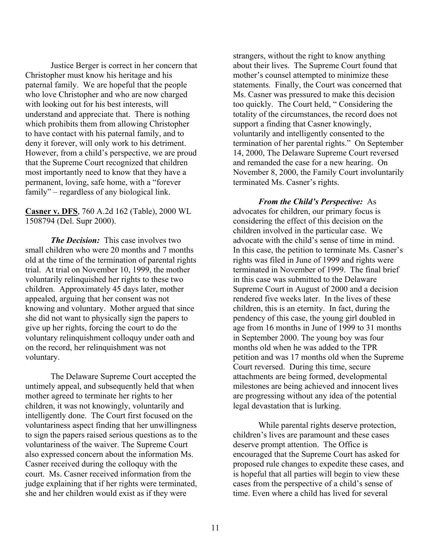Justice Berger is correct in her concern that Christopher must know his heritage and his paternal family. We are hopeful that the people who love Christopher and who are now charged with looking out for his best interests, will understand and appreciate that. There is nothing which prohibits them from allowing Christopher to have contact with his paternal family, and to deny it forever, will only work to his detriment. However, from a child's perspective, we are proud that the Supreme Court recognized that children most importantly need to know that they have a permanent, loving, safe home, with a "forever family" – regardless of any biological link.

**Casner v. DFS**, 760 A.2d 162 (Table), 2000 WL 1508794 (Del. Supr 2000).

*The Decision:* This case involves two small children who were 20 months and 7 months old at the time of the termination of parental rights trial. At trial on November 10, 1999, the mother voluntarily relinquished her rights to these two children. Approximately 45 days later, mother appealed, arguing that her consent was not knowing and voluntary. Mother argued that since she did not want to physically sign the papers to give up her rights, forcing the court to do the voluntary relinquishment colloquy under oath and on the record, her relinquishment was not voluntary.

The Delaware Supreme Court accepted the untimely appeal, and subsequently held that when mother agreed to terminate her rights to her children, it was not knowingly, voluntarily and intelligently done. The Court first focused on the voluntariness aspect finding that her unwillingness to sign the papers raised serious questions as to the voluntariness of the waiver. The Supreme Court also expressed concern about the information Ms. Casner received during the colloquy with the court. Ms. Casner received information from the judge explaining that if her rights were terminated, she and her children would exist as if they were

strangers, without the right to know anything about their lives. The Supreme Court found that mother's counsel attempted to minimize these statements. Finally, the Court was concerned that Ms. Casner was pressured to make this decision too quickly. The Court held, " Considering the totality of the circumstances, the record does not support a finding that Casner knowingly, voluntarily and intelligently consented to the termination of her parental rights." On September 14, 2000, The Delaware Supreme Court reversed and remanded the case for a new hearing. On November 8, 2000, the Family Court involuntarily terminated Ms. Casner's rights.

*From the Child's Perspective:* As advocates for children, our primary focus is considering the effect of this decision on the children involved in the particular case. We advocate with the child's sense of time in mind. In this case, the petition to terminate Ms. Casner's rights was filed in June of 1999 and rights were terminated in November of 1999. The final brief in this case was submitted to the Delaware Supreme Court in August of 2000 and a decision rendered five weeks later. In the lives of these children, this is an eternity. In fact, during the pendency of this case, the young girl doubled in age from 16 months in June of 1999 to 31 months in September 2000. The young boy was four months old when he was added to the TPR petition and was 17 months old when the Supreme Court reversed. During this time, secure attachments are being formed, developmental milestones are being achieved and innocent lives are progressing without any idea of the potential legal devastation that is lurking.

While parental rights deserve protection, children's lives are paramount and these cases deserve prompt attention. The Office is encouraged that the Supreme Court has asked for proposed rule changes to expedite these cases, and is hopeful that all parties will begin to view these cases from the perspective of a child's sense of time. Even where a child has lived for several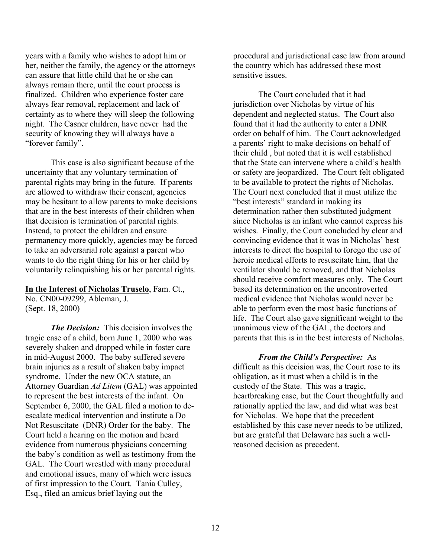years with a family who wishes to adopt him or her, neither the family, the agency or the attorneys can assure that little child that he or she can always remain there, until the court process is finalized. Children who experience foster care always fear removal, replacement and lack of certainty as to where they will sleep the following night. The Casner children, have never had the security of knowing they will always have a "forever family".

This case is also significant because of the uncertainty that any voluntary termination of parental rights may bring in the future. If parents are allowed to withdraw their consent, agencies may be hesitant to allow parents to make decisions that are in the best interests of their children when that decision is termination of parental rights. Instead, to protect the children and ensure permanency more quickly, agencies may be forced to take an adversarial role against a parent who wants to do the right thing for his or her child by voluntarily relinquishing his or her parental rights.

#### **In the Interest of Nicholas Truselo**, Fam. Ct.,

No. CN00-09299, Ableman, J. (Sept. 18, 2000)

*The Decision:* This decision involves the tragic case of a child, born June 1, 2000 who was severely shaken and dropped while in foster care in mid-August 2000. The baby suffered severe brain injuries as a result of shaken baby impact syndrome. Under the new OCA statute, an Attorney Guardian *Ad Litem* (GAL) was appointed to represent the best interests of the infant. On September 6, 2000, the GAL filed a motion to deescalate medical intervention and institute a Do Not Resuscitate (DNR) Order for the baby. The Court held a hearing on the motion and heard evidence from numerous physicians concerning the baby's condition as well as testimony from the GAL. The Court wrestled with many procedural and emotional issues, many of which were issues of first impression to the Court. Tania Culley, Esq., filed an amicus brief laying out the

procedural and jurisdictional case law from around the country which has addressed these most sensitive issues.

The Court concluded that it had jurisdiction over Nicholas by virtue of his dependent and neglected status. The Court also found that it had the authority to enter a DNR order on behalf of him. The Court acknowledged a parents' right to make decisions on behalf of their child , but noted that it is well established that the State can intervene where a child's health or safety are jeopardized. The Court felt obligated to be available to protect the rights of Nicholas. The Court next concluded that it must utilize the "best interests" standard in making its determination rather then substituted judgment since Nicholas is an infant who cannot express his wishes. Finally, the Court concluded by clear and convincing evidence that it was in Nicholas' best interests to direct the hospital to forego the use of heroic medical efforts to resuscitate him, that the ventilator should be removed, and that Nicholas should receive comfort measures only. The Court based its determination on the uncontroverted medical evidence that Nicholas would never be able to perform even the most basic functions of life. The Court also gave significant weight to the unanimous view of the GAL, the doctors and parents that this is in the best interests of Nicholas.

#### *From the Child's Perspective:* As

difficult as this decision was, the Court rose to its obligation, as it must when a child is in the custody of the State. This was a tragic, heartbreaking case, but the Court thoughtfully and rationally applied the law, and did what was best for Nicholas. We hope that the precedent established by this case never needs to be utilized, but are grateful that Delaware has such a wellreasoned decision as precedent.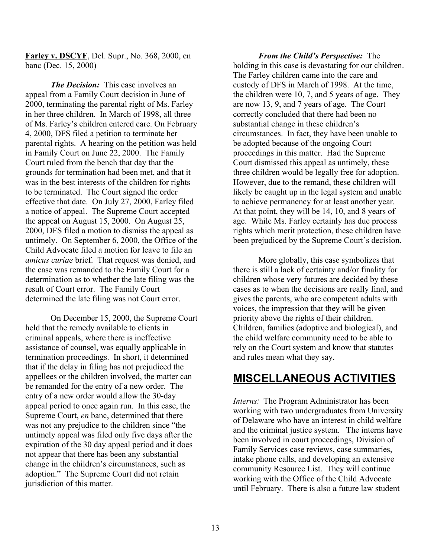**Farley v. DSCYF**, Del. Supr., No. 368, 2000, en banc (Dec. 15, 2000)

*The Decision:* This case involves an appeal from a Family Court decision in June of 2000, terminating the parental right of Ms. Farley in her three children. In March of 1998, all three of Ms. Farley's children entered care. On February 4, 2000, DFS filed a petition to terminate her parental rights. A hearing on the petition was held in Family Court on June 22, 2000. The Family Court ruled from the bench that day that the grounds for termination had been met, and that it was in the best interests of the children for rights to be terminated. The Court signed the order effective that date. On July 27, 2000, Farley filed a notice of appeal. The Supreme Court accepted the appeal on August 15, 2000. On August 25, 2000, DFS filed a motion to dismiss the appeal as untimely. On September 6, 2000, the Office of the Child Advocate filed a motion for leave to file an *amicus curiae* brief. That request was denied, and the case was remanded to the Family Court for a determination as to whether the late filing was the result of Court error. The Family Court determined the late filing was not Court error.

On December 15, 2000, the Supreme Court held that the remedy available to clients in criminal appeals, where there is ineffective assistance of counsel, was equally applicable in termination proceedings. In short, it determined that if the delay in filing has not prejudiced the appellees or the children involved, the matter can be remanded for the entry of a new order. The entry of a new order would allow the 30-day appeal period to once again run. In this case, the Supreme Court, *en* banc, determined that there was not any prejudice to the children since "the untimely appeal was filed only five days after the expiration of the 30 day appeal period and it does not appear that there has been any substantial change in the children's circumstances, such as adoption." The Supreme Court did not retain jurisdiction of this matter.

*From the Child's Perspective:* The holding in this case is devastating for our children. The Farley children came into the care and custody of DFS in March of 1998. At the time, the children were 10, 7, and 5 years of age. They are now 13, 9, and 7 years of age. The Court correctly concluded that there had been no substantial change in these children's circumstances. In fact, they have been unable to be adopted because of the ongoing Court proceedings in this matter. Had the Supreme Court dismissed this appeal as untimely, these three children would be legally free for adoption. However, due to the remand, these children will likely be caught up in the legal system and unable to achieve permanency for at least another year. At that point, they will be 14, 10, and 8 years of age. While Ms. Farley certainly has due process rights which merit protection, these children have been prejudiced by the Supreme Court's decision.

More globally, this case symbolizes that there is still a lack of certainty and/or finality for children whose very futures are decided by these cases as to when the decisions are really final, and gives the parents, who are competent adults with voices, the impression that they will be given priority above the rights of their children. Children, families (adoptive and biological), and the child welfare community need to be able to rely on the Court system and know that statutes and rules mean what they say.

## **MISCELLANEOUS ACTIVITIES**

*Interns:* The Program Administrator has been working with two undergraduates from University of Delaware who have an interest in child welfare and the criminal justice system. The interns have been involved in court proceedings, Division of Family Services case reviews, case summaries, intake phone calls, and developing an extensive community Resource List. They will continue working with the Office of the Child Advocate until February. There is also a future law student